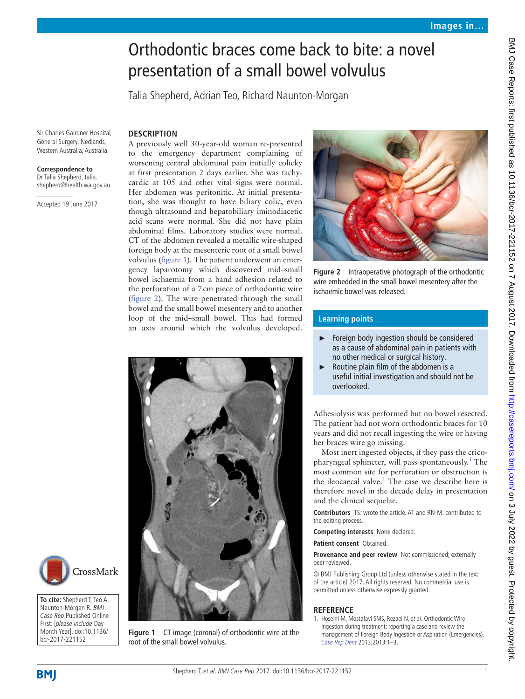# Orthodontic braces come back to bite: a novel presentation of a small bowel volvulus

Talia Shepherd, Adrian Teo, Richard Naunton-Morgan

Sir Charles Gairdner Hospital, General Surgery, Nedlands, Western Australia, Australia

#### **Correspondence to**

Dr Talia Shepherd, talia. shepherd@health.wa.gov.au

Accepted 19 June 2017

### **Description**

A previously well 30-year-old woman re-presented to the emergency department complaining of worsening central abdominal pain initially colicky at first presentation 2 days earlier. She was tachycardic at 105 and other vital signs were normal. Her abdomen was peritonitic. At initial presentation, she was thought to have biliary colic, even though ultrasound and hepatobiliary iminodiacetic acid scans were normal. She did not have plain abdominal films. Laboratory studies were normal. CT of the abdomen revealed a metallic wire-shaped foreign body at the mesenteric root of a small bowel volvulus ([figure](#page-0-0) 1). The patient underwent an emergency laparotomy which discovered mid–small bowel ischaemia from a band adhesion related to the perforation of a 7cm piece of orthodontic wire ([figure](#page-0-1) 2). The wire penetrated through the small bowel and the small bowel mesentery and to another loop of the mid–small bowel. This had formed an axis around which the volvulus developed.



<span id="page-0-1"></span>**Figure 2** Intraoperative photograph of the orthodontic wire embedded in the small bowel mesentery after the ischaemic bowel was released.

## **Learning points**

- ► Foreign body ingestion should be considered as a cause of abdominal pain in patients with no other medical or surgical history.
- ► Routine plain film of the abdomen is a useful initial investigation and should not be overlooked.

Adhesiolysis was performed but no bowel resected. The patient had not worn orthodontic braces for 10 years and did not recall ingesting the wire or having her braces wire go missing.

Most inert ingested objects, if they pass the crico-pharyngeal sphincter, will pass spontaneously.<sup>[1](#page-0-2)</sup> The most common site for perforation or obstruction is the ileocaecal valve.<sup>1</sup> The case we describe here is therefore novel in the decade delay in presentation and the clinical sequelae.

**Contributors** TS: wrote the article. AT and RN-M: contributed to the editing process.

**Competing interests** None declared.

**Patient consent** Obtained.

**Provenance and peer review** Not commissioned; externally peer reviewed.

© BMJ Publishing Group Ltd (unless otherwise stated in the text of the article) 2017. All rights reserved. No commercial use is permitted unless otherwise expressly granted.

#### **Reference**

<span id="page-0-2"></span>1. Hoseini M, Mostafavi SMS, Rezaei N, et al. Orthodontic Wire Ingestion during treatment: reporting a case and review the management of Foreign Body Ingestion or Aspiration (Emergencies). [Case Rep Dent](http://dx.doi.org/10.1155/2013/426591) 2013;2013:1–3.



<span id="page-0-0"></span>**To cite:** Shepherd T, Teo A, Naunton-Morgan R. BMJ Case Rep Published Online First: [please include Day Month Year]. doi:10.1136/ bcr-2017-221152



**Figure 1** CT image (coronal) of orthodontic wire at the root of the small bowel volvulus.